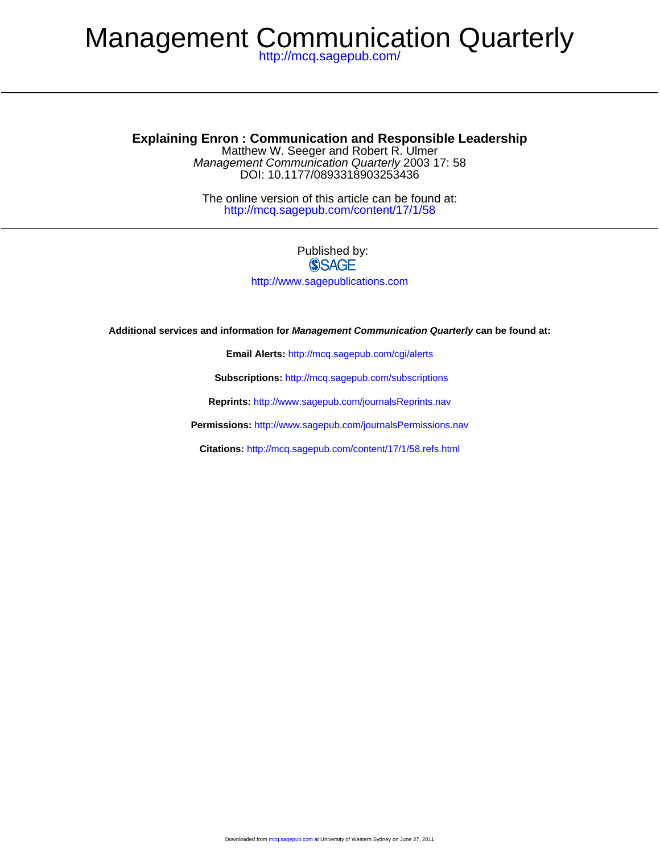# Management Communication Quarterly

<http://mcq.sagepub.com/>

DOI: 10.1177/0893318903253436 Management Communication Quarterly 2003 17: 58 Matthew W. Seeger and Robert R. Ulmer **Explaining Enron : Communication and Responsible Leadership**

> <http://mcq.sagepub.com/content/17/1/58> The online version of this article can be found at:

## Published by: **SSAGE**

<http://www.sagepublications.com>

**Additional services and information for Management Communication Quarterly can be found at:**

**Email Alerts:** <http://mcq.sagepub.com/cgi/alerts>

**Subscriptions:** <http://mcq.sagepub.com/subscriptions>

**Reprints:** <http://www.sagepub.com/journalsReprints.nav>

**Permissions:** <http://www.sagepub.com/journalsPermissions.nav>

**Citations:** <http://mcq.sagepub.com/content/17/1/58.refs.html>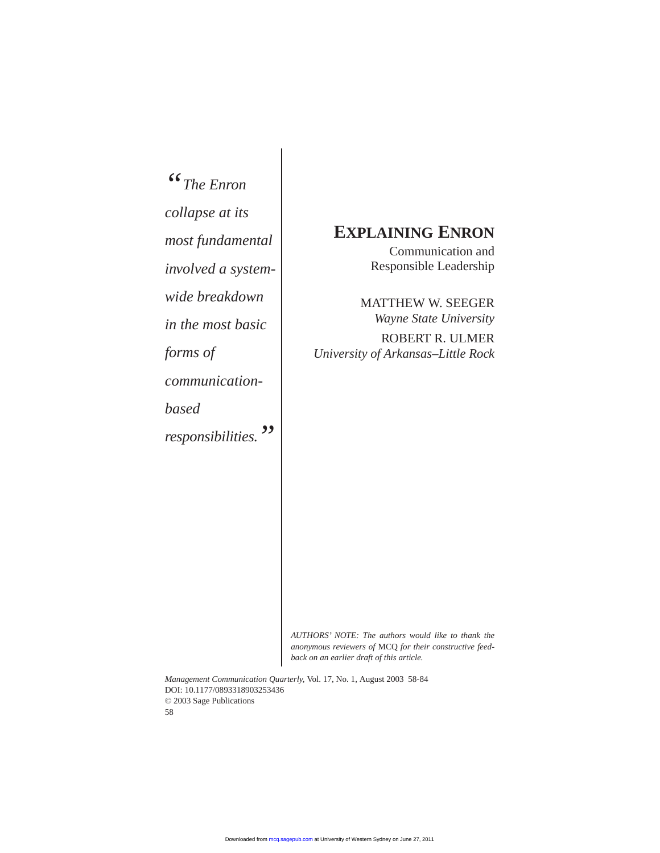*"The Enron collapse at its most fundamental involved a systemwide breakdown in the most basic forms of communicationbased responsibilities."*

# **EXPLAINING ENRON**

Communication and Responsible Leadership

MATTHEW W. SEEGER *Wayne State University* ROBERT R. ULMER *University of Arkansas–Little Rock*

*AUTHORS' NOTE: The authors would like to thank the anonymous reviewers of* MCQ *for their constructive feedback on an earlier draft of this article.*

58 *Management Communication Quarterly,* Vol. 17, No. 1, August 2003 58-84 DOI: 10.1177/0893318903253436 © 2003 Sage Publications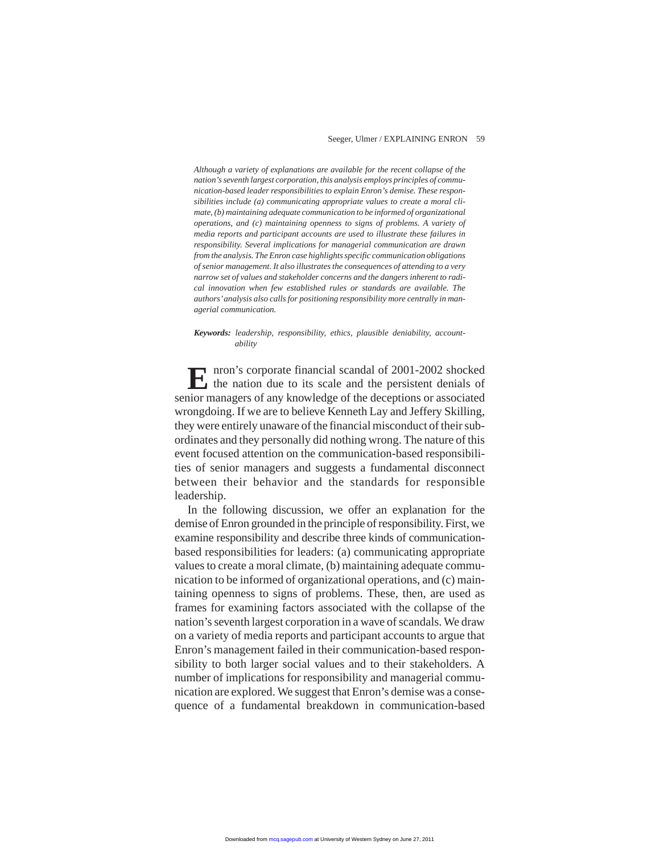*Although a variety of explanations are available for the recent collapse of the nation's seventh largest corporation, this analysis employs principles of communication-based leader responsibilities to explain Enron's demise. These responsibilities include (a) communicating appropriate values to create a moral climate, (b) maintaining adequate communication to be informed of organizational operations, and (c) maintaining openness to signs of problems. A variety of media reports and participant accounts are used to illustrate these failures in responsibility. Several implications for managerial communication are drawn from the analysis. The Enron case highlights specific communication obligations of senior management. It also illustrates the consequences of attending to a very narrowset of values and stakeholder concerns and the dangers inherent to radical innovation when few established rules or standards are available. The authors'analysis also calls for positioning responsibility more centrally in managerial communication.*

#### *Keywords: leadership, responsibility, ethics, plausible deniability, accountability*

**E**nron's corporate financial scandal of 2001-2002 shocked<br>the nation due to its scale and the persistent denials of senior managers of any knowledge of the deceptions or associated wrongdoing. If we are to believe Kenneth Lay and Jeffery Skilling, they were entirely unaware of the financial misconduct of their subordinates and they personally did nothing wrong. The nature of this event focused attention on the communication-based responsibilities of senior managers and suggests a fundamental disconnect between their behavior and the standards for responsible leadership.

In the following discussion, we offer an explanation for the demise of Enron grounded in the principle of responsibility. First,we examine responsibility and describe three kinds of communicationbased responsibilities for leaders: (a) communicating appropriate values to create a moral climate,(b) maintaining adequate communication to be informed of organizational operations, and (c) maintaining openness to signs of problems. These, then, are used as frames for examining factors associated with the collapse of the nation's seventh largest corporation in a wave of scandals. We draw on a variety of media reports and participant accounts to argue that Enron's management failed in their communication-based responsibility to both larger social values and to their stakeholders. A number of implications for responsibility and managerial communication are explored. We suggest that Enron's demise was a consequence of a fundamental breakdown in communication-based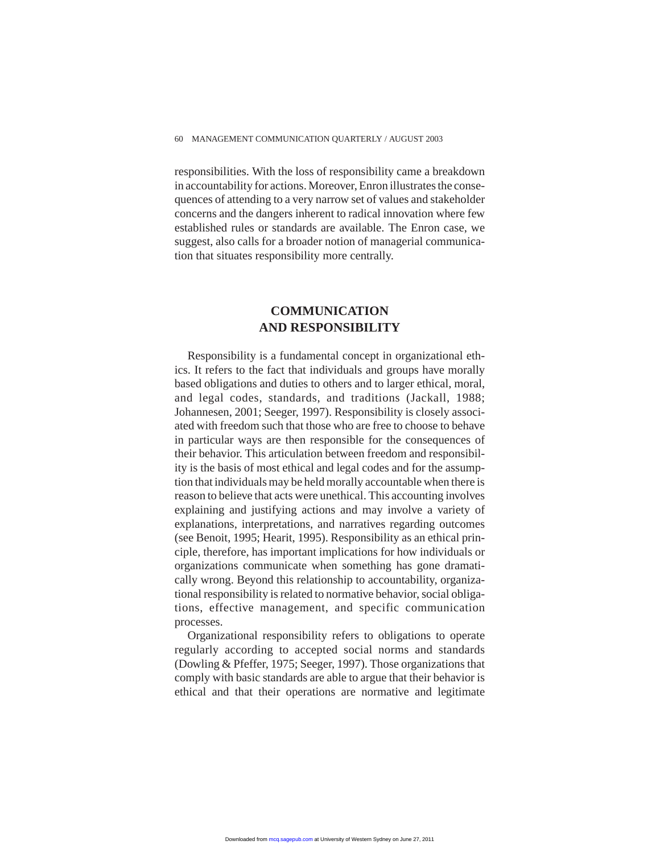responsibilities. With the loss of responsibility came a breakdown in accountability for actions. Moreover,Enron illustrates the consequences of attending to a very narrow set of values and stakeholder concerns and the dangers inherent to radical innovation where few established rules or standards are available. The Enron case, we suggest, also calls for a broader notion of managerial communication that situates responsibility more centrally.

## **COMMUNICATION AND RESPONSIBILITY**

Responsibility is a fundamental concept in organizational ethics. It refers to the fact that individuals and groups have morally based obligations and duties to others and to larger ethical, moral, and legal codes, standards, and traditions (Jackall, 1988; Johannesen, 2001; Seeger, 1997). Responsibility is closely associ-ated with freedom such that those who are free to choose to behave in particular ways are then responsible for the consequences of their behavior. This articulation between freedom and responsibility is the basis of most ethical and legal codes and for the assumption that individuals may be held morally accountable when there is reason to believe that acts were unethical. This accounting involves explaining and justifying actions and may involve a variety of explanations, interpretations, and narratives regarding outcomes (see Benoit,1995; Hearit,1995). Responsibility as an ethical principle, therefore, has important implications for how individuals or organizations communicate when something has gone dramatically wrong. Beyond this relationship to accountability, organizational responsibility is related to normative behavior, social obligations, effective management, and specific communication processes.

Organizational responsibility refers to obligations to operate regularly according to accepted social norms and standards (Dowling & Pfeffer,1975; Seeger,1997). Those organizations that comply with basic standards are able to argue that their behavior is ethical and that their operations are normative and legitimate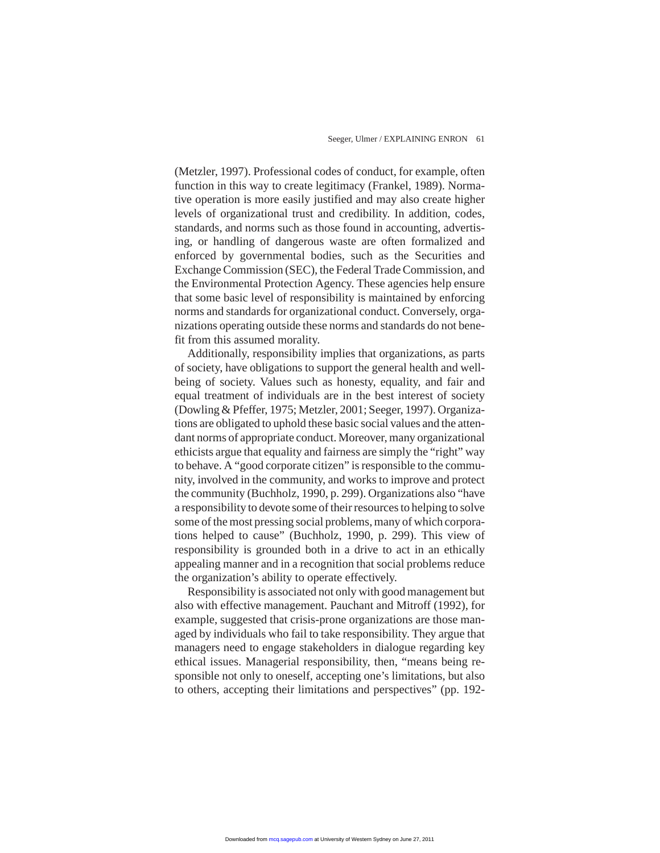(Metzler, 1997). Professional codes of conduct, for example, often function in this way to create legitimacy (Frankel, 1989). Normative operation is more easily justified and may also create higher levels of organizational trust and credibility. In addition, codes, standards, and norms such as those found in accounting, advertising, or handling of dangerous waste are often formalized and enforced by governmental bodies, such as the Securities and Exchange Commission (SEC), the Federal Trade Commission, and the Environmental Protection Agency. These agencies help ensure that some basic level of responsibility is maintained by enforcing norms and standards for organizational conduct. Conversely, organizations operating outside these norms and standards do not benefit from this assumed morality.

Additionally, responsibility implies that organizations, as parts of society,have obligations to support the general health and wellbeing of society. Values such as honesty, equality, and fair and equal treatment of individuals are in the best interest of society (Dowling & Pfeffer,1975; Metzler,2001; Seeger,1997). Organizations are obligated to uphold these basic social values and the attendant norms of appropriate conduct. Moreover, many organizational ethicists argue that equality and fairness are simply the "right" way to behave. A "good corporate citizen" is responsible to the community, involved in the community, and works to improve and protect the community (Buchholz,1990,p. 299). Organizations also "have a responsibility to devote some of their resources to helping to solve some of the most pressing social problems, many of which corporations helped to cause" (Buchholz, 1990, p. 299). This view of responsibility is grounded both in a drive to act in an ethically appealing manner and in a recognition that social problems reduce the organization's ability to operate effectively.

Responsibility is associated not only with good management but also with effective management. Pauchant and Mitroff (1992), for example, suggested that crisis-prone organizations are those managed by individuals who fail to take responsibility. They argue that managers need to engage stakeholders in dialogue regarding key ethical issues. Managerial responsibility, then, "means being responsible not only to oneself, accepting one's limitations, but also to others, accepting their limitations and perspectives" (pp. 192-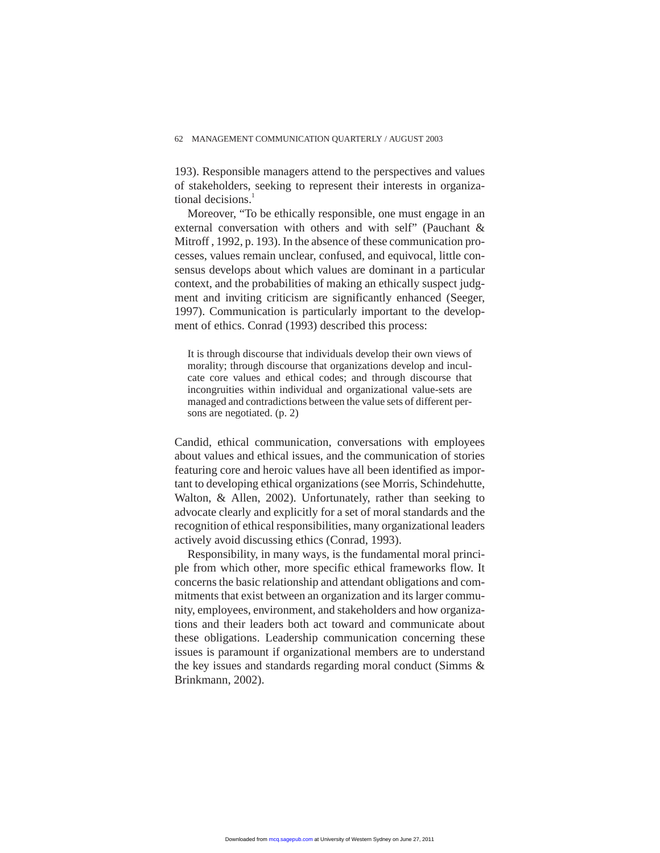193). Responsible managers attend to the perspectives and values of stakeholders, seeking to represent their interests in organizational decisions.<sup>1</sup>

Moreover, "To be ethically responsible, one must engage in an external conversation with others and with self" (Pauchant & Mitroff, 1992, p. 193). In the absence of these communication processes, values remain unclear, confused, and equivocal, little consensus develops about which values are dominant in a particular context, and the probabilities of making an ethically suspect judgment and inviting criticism are significantly enhanced (Seeger, 1997). Communication is particularly important to the development of ethics. Conrad (1993) described this process:

It is through discourse that individuals develop their own views of morality; through discourse that organizations develop and inculcate core values and ethical codes; and through discourse that incongruities within individual and organizational value-sets are managed and contradictions between the value sets of different persons are negotiated. (p. 2)

Candid, ethical communication, conversations with employees about values and ethical issues, and the communication of stories featuring core and heroic values have all been identified as important to developing ethical organizations (see Morris, Schindehutte, Walton,  $&$  Allen, 2002). Unfortunately, rather than seeking to advocate clearly and explicitly for a set of moral standards and the recognition of ethical responsibilities, many organizational leaders actively avoid discussing ethics (Conrad, 1993).

Responsibility, in many ways, is the fundamental moral principle from which other, more specific ethical frameworks flow. It concerns the basic relationship and attendant obligations and commitments that exist between an organization and its larger community,employees,environment,and stakeholders and how organizations and their leaders both act toward and communicate about these obligations. Leadership communication concerning these issues is paramount if organizational members are to understand the key issues and standards regarding moral conduct (Simms & Brinkmann, 2002).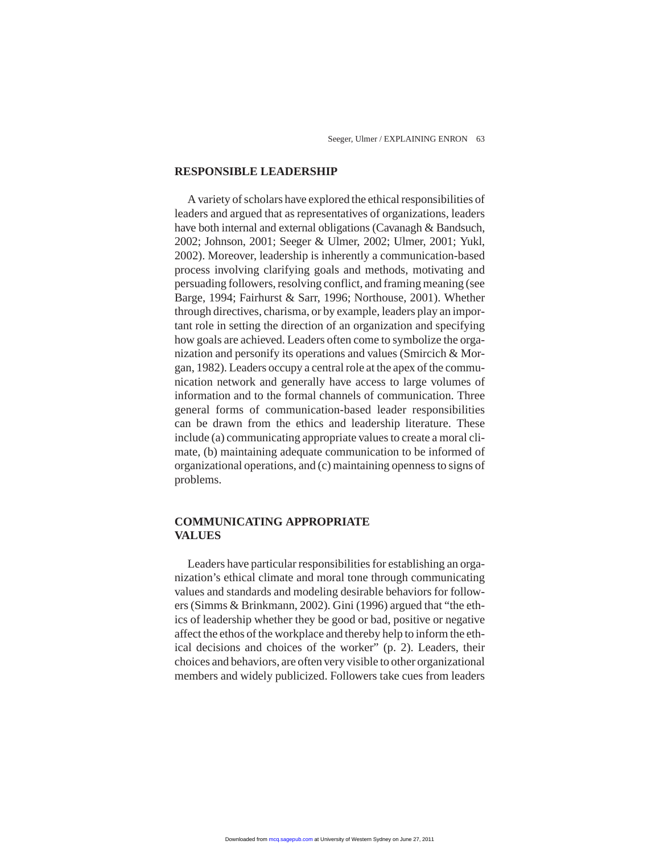#### **RESPONSIBLE LEADERSHIP**

A variety of scholars have explored the ethical responsibilities of leaders and argued that as representatives of organizations, leaders have both internal and external obligations (Cavanagh & Bandsuch, 2002; Johnson,2001; Seeger & Ulmer,2002; Ulmer,2001; Yukl, 2002). Moreover, leadership is inherently a communication-based process involving clarifying goals and methods, motivating and persuading followers, resolving conflict, and framing meaning (see Barge, 1994; Fairhurst & Sarr, 1996; Northouse, 2001). Whether through directives, charisma, or by example, leaders play an important role in setting the direction of an organization and specifying how goals are achieved. Leaders often come to symbolize the organization and personify its operations and values (Smircich & Morgan,1982). Leaders occupy a central role at the apex of the communication network and generally have access to large volumes of information and to the formal channels of communication. Three general forms of communication-based leader responsibilities can be drawn from the ethics and leadership literature. These include (a) communicating appropriate values to create a moral climate, (b) maintaining adequate communication to be informed of organizational operations,and (c) maintaining openness to signs of problems.

## **COMMUNICATING APPROPRIATE VALUES**

Leaders have particular responsibilities for establishing an organization's ethical climate and moral tone through communicating values and standards and modeling desirable behaviors for followers (Simms & Brinkmann,2002). Gini (1996) argued that "the ethics of leadership whether they be good or bad, positive or negative affect the ethos of the workplace and thereby help to inform the ethical decisions and choices of the worker" (p. 2). Leaders, their choices and behaviors,are often very visible to other organizational members and widely publicized. Followers take cues from leaders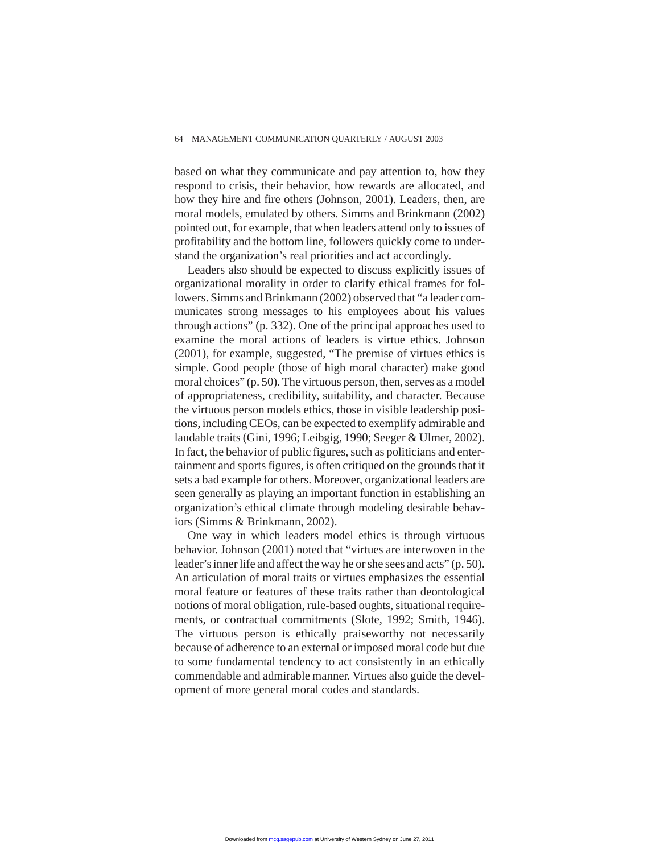based on what they communicate and pay attention to, how they respond to crisis, their behavior, how rewards are allocated, and how they hire and fire others (Johnson, 2001). Leaders, then, are moral models, emulated by others. Simms and Brinkmann (2002) pointed out, for example, that when leaders attend only to issues of profitability and the bottom line, followers quickly come to understand the organization's real priorities and act accordingly.

Leaders also should be expected to discuss explicitly issues of organizational morality in order to clarify ethical frames for followers. Simms and Brinkmann (2002) observed that "a leader communicates strong messages to his employees about his values through actions" (p. 332). One of the principal approaches used to examine the moral actions of leaders is virtue ethics. Johnson  $(2001)$ , for example, suggested, "The premise of virtues ethics is simple. Good people (those of high moral character) make good moral choices"  $(p. 50)$ . The virtuous person, then, serves as a model of appropriateness, credibility, suitability, and character. Because the virtuous person models ethics, those in visible leadership positions, including CEOs, can be expected to exemplify admirable and laudable traits (Gini, 1996; Leibgig, 1990; Seeger & Ulmer, 2002). In fact, the behavior of public figures, such as politicians and entertainment and sports figures, is often critiqued on the grounds that it sets a bad example for others. Moreover, organizational leaders are seen generally as playing an important function in establishing an organization's ethical climate through modeling desirable behaviors (Simms & Brinkmann, 2002).

One way in which leaders model ethics is through virtuous behavior. Johnson (2001) noted that "virtues are interwoven in the leader's inner life and affect the way he or she sees and acts" (p. 50). An articulation of moral traits or virtues emphasizes the essential moral feature or features of these traits rather than deontological notions of moral obligation, rule-based oughts, situational requirements, or contractual commitments (Slote, 1992; Smith, 1946). The virtuous person is ethically praiseworthy not necessarily because of adherence to an external or imposed moral code but due to some fundamental tendency to act consistently in an ethically commendable and admirable manner. Virtues also guide the development of more general moral codes and standards.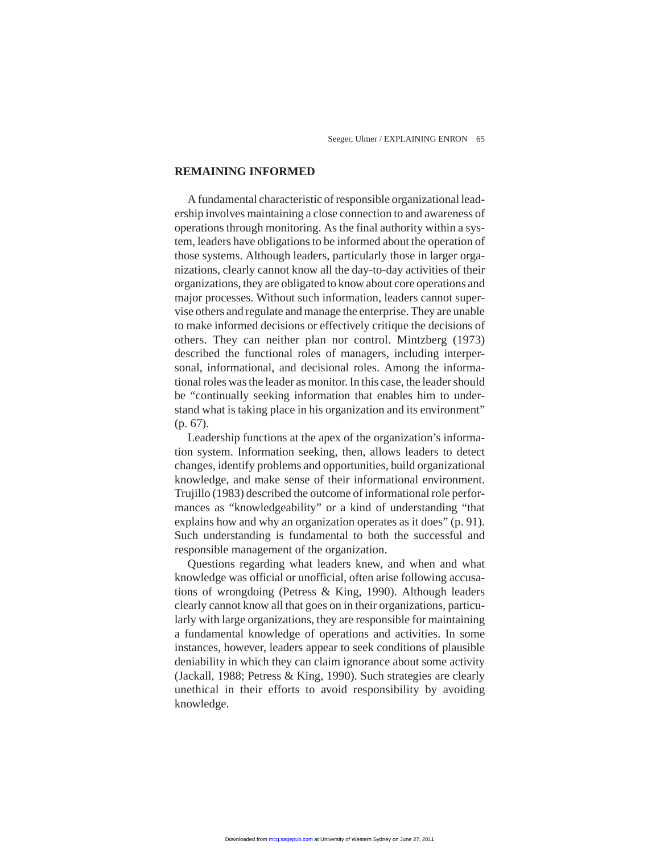## **REMAINING INFORMED**

A fundamental characteristic of responsible organizational leadership involves maintaining a close connection to and awareness of operations through monitoring. As the final authority within a system, leaders have obligations to be informed about the operation of those systems. Although leaders, particularly those in larger organizations,clearly cannot know all the day-to-day activities of their organizations,they are obligated to know about core operations and major processes. Without such information, leaders cannot supervise others and regulate and manage the enterprise. They are unable to make informed decisions or effectively critique the decisions of others. They can neither plan nor control. Mintzberg (1973) described the functional roles of managers, including interpersonal, informational, and decisional roles. Among the informational roles was the leader as monitor. In this case, the leader should be "continually seeking information that enables him to understand what is taking place in his organization and its environment" (p. 67).

Leadership functions at the apex of the organization's information system. Information seeking, then, allows leaders to detect changes, identify problems and opportunities, build organizational knowledge, and make sense of their informational environment. Trujillo (1983) described the outcome of informational role performances as "knowledgeability" or a kind of understanding "that explains how and why an organization operates as it does" (p. 91). Such understanding is fundamental to both the successful and responsible management of the organization.

Questions regarding what leaders knew, and when and what knowledge was official or unofficial, often arise following accusations of wrongdoing (Petress & King,1990). Although leaders clearly cannot know all that goes on in their organizations, particularly with large organizations, they are responsible for maintaining a fundamental knowledge of operations and activities. In some instances, however, leaders appear to seek conditions of plausible deniability in which they can claim ignorance about some activity (Jackall,1988; Petress & King,1990). Such strategies are clearly unethical in their efforts to avoid responsibility by avoiding knowledge.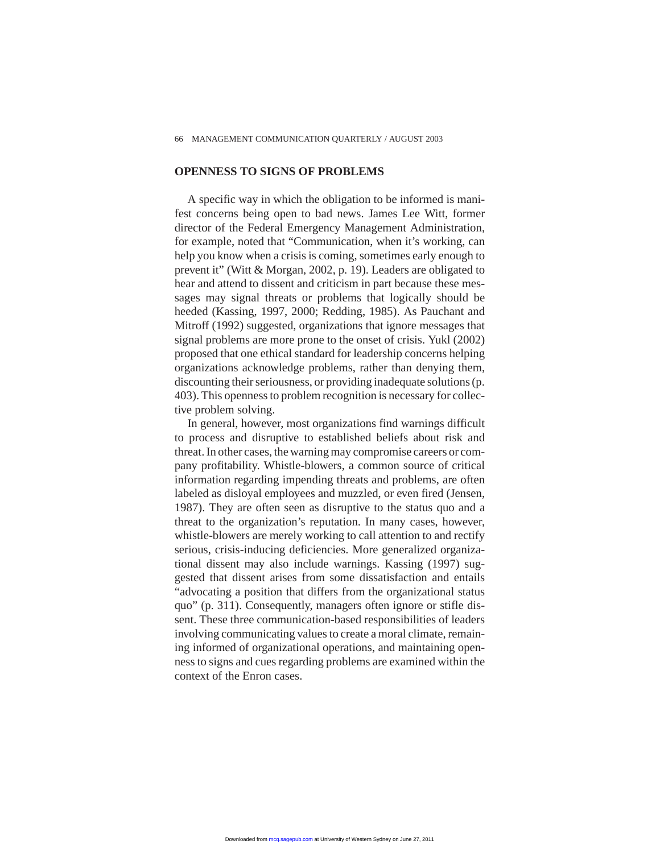## **OPENNESS TO SIGNS OF PROBLEMS**

A specific way in which the obligation to be informed is manifest concerns being open to bad news. James Lee Witt, former director of the Federal Emergency Management Administration, for example, noted that "Communication, when it's working, can help you know when a crisis is coming, sometimes early enough to prevent it" (Witt & Morgan, 2002, p. 19). Leaders are obligated to hear and attend to dissent and criticism in part because these messages may signal threats or problems that logically should be heeded (Kassing, 1997, 2000; Redding, 1985). As Pauchant and Mitroff (1992) suggested, organizations that ignore messages that signal problems are more prone to the onset of crisis. Yukl (2002) proposed that one ethical standard for leadership concerns helping organizations acknowledge problems, rather than denying them, discounting their seriousness, or providing inadequate solutions (p. 403). This openness to problem recognition is necessary for collective problem solving.

In general, however, most organizations find warnings difficult to process and disruptive to established beliefs about risk and threat. In other cases, the warning may compromise careers or company profitability. Whistle-blowers, a common source of critical information regarding impending threats and problems, are often labeled as disloyal employees and muzzled, or even fired (Jensen, 1987). They are often seen as disruptive to the status quo and a threat to the organization's reputation. In many cases, however, whistle-blowers are merely working to call attention to and rectify serious, crisis-inducing deficiencies. More generalized organizational dissent may also include warnings. Kassing (1997) suggested that dissent arises from some dissatisfaction and entails "advocating a position that differs from the organizational status quo" (p. 311). Consequently, managers often ignore or stifle dissent. These three communication-based responsibilities of leaders involving communicating values to create a moral climate, remaining informed of organizational operations, and maintaining openness to signs and cues regarding problems are examined within the context of the Enron cases.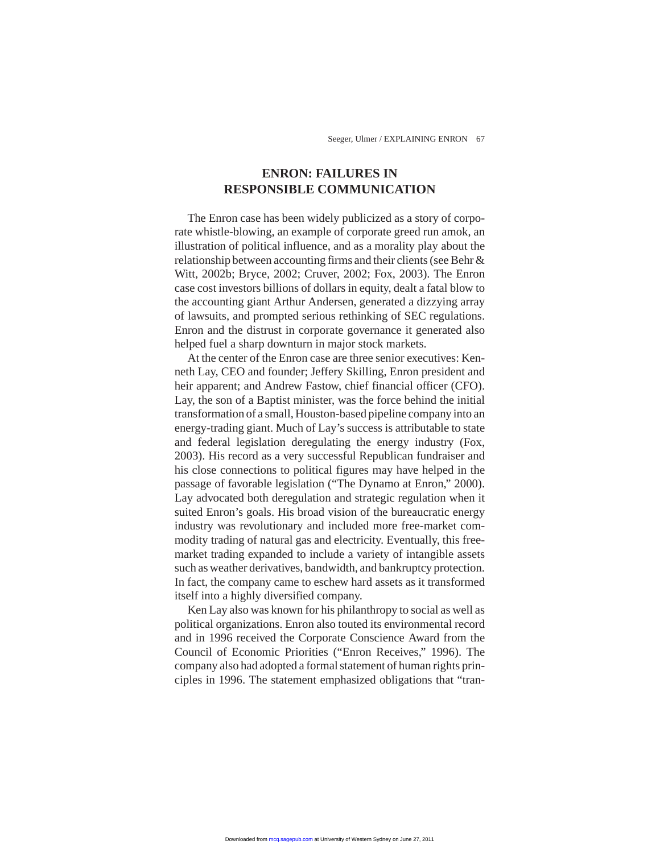## **ENRON: FAILURES IN RESPONSIBLE COMMUNICATION**

The Enron case has been widely publicized as a story of corporate whistle-blowing, an example of corporate greed run amok, an illustration of political influence, and as a morality play about the relationship between accounting firms and their clients (see Behr & Witt,2002b; Bryce,2002; Cruver,2002; Fox,2003). The Enron case cost investors billions of dollars in equity, dealt a fatal blow to the accounting giant Arthur Andersen, generated a dizzying array of lawsuits,and prompted serious rethinking of SEC regulations. Enron and the distrust in corporate governance it generated also helped fuel a sharp downturn in major stock markets.

At the center of the Enron case are three senior executives: Kenneth Lay, CEO and founder; Jeffery Skilling, Enron president and heir apparent; and Andrew Fastow, chief financial officer (CFO). Lay, the son of a Baptist minister, was the force behind the initial transformation of a small, Houston-based pipeline company into an energy-trading giant. Much of Lay's success is attributable to state and federal legislation deregulating the energy industry (Fox, 2003). His record as a very successful Republican fundraiser and his close connections to political figures may have helped in the passage of favorable legislation ("The Dynamo at Enron," 2000). Lay advocated both deregulation and strategic regulation when it suited Enron's goals. His broad vision of the bureaucratic energy industry was revolutionary and included more free-market commodity trading of natural gas and electricity. Eventually, this freemarket trading expanded to include a variety of intangible assets such as weather derivatives, bandwidth, and bankruptcy protection. In fact, the company came to eschew hard assets as it transformed itself into a highly diversified company.

Ken Lay also was known for his philanthropy to social as well as political organizations. Enron also touted its environmental record and in 1996 received the Corporate Conscience Award from the Council of Economic Priorities ("Enron Receives," 1996). The company also had adopted a formal statement of human rights principles in 1996. The statement emphasized obligations that "tran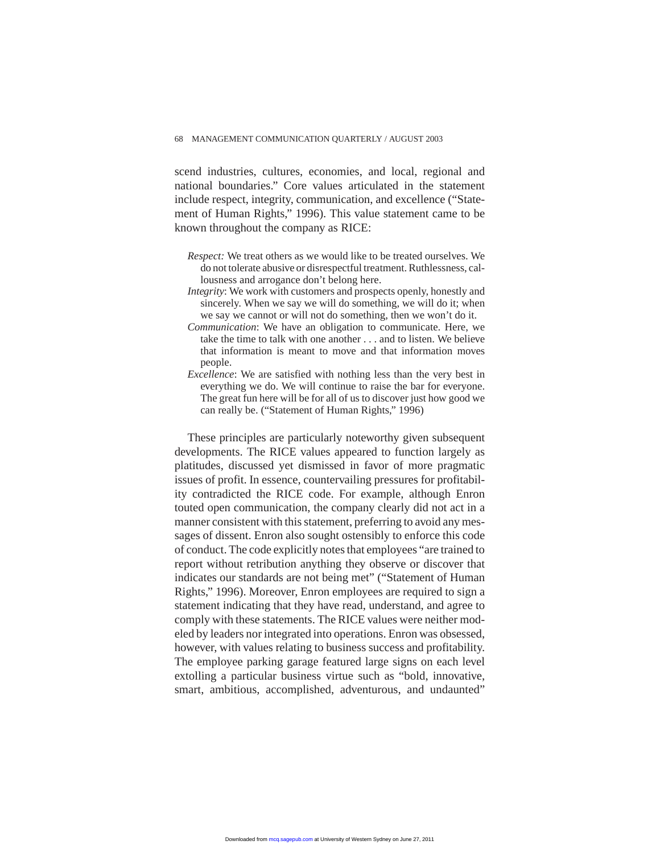scend industries, cultures, economies, and local, regional and national boundaries." Core values articulated in the statement include respect, integrity, communication, and excellence ("Statement of Human Rights," 1996). This value statement came to be known throughout the company as RICE:

- *Respect:* We treat others as we would like to be treated ourselves. We do not tolerate abusive or disrespectful treatment. Ruthlessness,callousness and arrogance don't belong here.
- *Integrity:* We work with customers and prospects openly, honestly and sincerely. When we say we will do something, we will do it; when we say we cannot or will not do something, then we won't do it.
- *Communication*: We have an obligation to communicate. Here, we take the time to talk with one another . . . and to listen. We believe that information is meant to move and that information moves people.
- *Excellence*: We are satisfied with nothing less than the very best in everything we do. We will continue to raise the bar for everyone. The great fun here will be for all of us to discover just how good we can really be. ("Statement of Human Rights," 1996)

These principles are particularly noteworthy given subsequent developments. The RICE values appeared to function largely as platitudes, discussed yet dismissed in favor of more pragmatic issues of profit. In essence, countervailing pressures for profitability contradicted the RICE code. For example, although Enron touted open communication, the company clearly did not act in a manner consistent with this statement, preferring to avoid any messages of dissent. Enron also sought ostensibly to enforce this code of conduct. The code explicitly notes that employees "are trained to report without retribution anything they observe or discover that indicates our standards are not being met" ("Statement of Human Rights," 1996). Moreover, Enron employees are required to sign a statement indicating that they have read, understand, and agree to comply with these statements. The RICE values were neither modeled by leaders nor integrated into operations. Enron was obsessed, however, with values relating to business success and profitability. The employee parking garage featured large signs on each level extolling a particular business virtue such as "bold, innovative, smart, ambitious, accomplished, adventurous, and undaunted"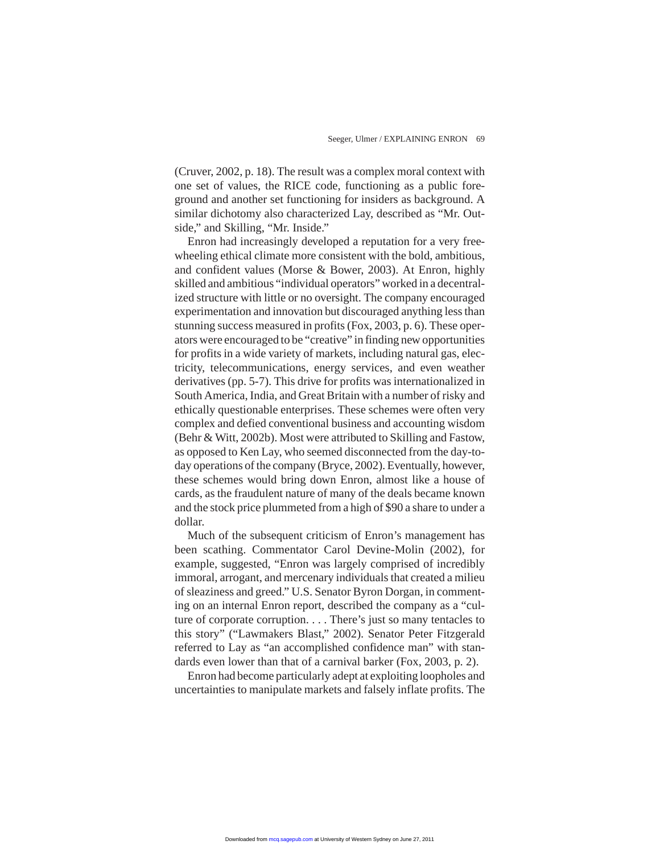(Cruver,2002,p. 18). The result was a complex moral context with one set of values, the RICE code, functioning as a public foreground and another set functioning for insiders as background. A similar dichotomy also characterized Lay, described as "Mr. Outside," and Skilling, "Mr. Inside."

Enron had increasingly developed a reputation for a very freewheeling ethical climate more consistent with the bold, ambitious, and confident values (Morse  $&$  Bower, 2003). At Enron, highly skilled and ambitious "individual operators" worked in a decentralized structure with little or no oversight. The company encouraged experimentation and innovation but discouraged anything less than stunning success measured in profits (Fox, 2003, p. 6). These operators were encouraged to be "creative" in finding new opportunities for profits in a wide variety of markets, including natural gas, electricity, telecommunications, energy services, and even weather derivatives (pp. 5-7). This drive for profits was internationalized in South America, India, and Great Britain with a number of risky and ethically questionable enterprises. These schemes were often very complex and defied conventional business and accounting wisdom (Behr & Witt,2002b). Most were attributed to Skilling and Fastow, as opposed to Ken Lay,who seemed disconnected from the day-today operations of the company (Bryce, 2002). Eventually, however, these schemes would bring down Enron, almost like a house of cards, as the fraudulent nature of many of the deals became known and the stock price plummeted from a high of \$90 a share to under a dollar.

Much of the subsequent criticism of Enron's management has been scathing. Commentator Carol Devine-Molin (2002), for example, suggested, "Enron was largely comprised of incredibly immoral, arrogant, and mercenary individuals that created a milieu of sleaziness and greed." U.S. Senator Byron Dorgan, in commenting on an internal Enron report, described the company as a "culture of corporate corruption. . . . There's just so many tentacles to this story" ("Lawmakers Blast," 2002). Senator Peter Fitzgerald referred to Lay as "an accomplished confidence man" with standards even lower than that of a carnival barker (Fox, 2003, p. 2).

Enron had become particularly adept at exploiting loopholes and uncertainties to manipulate markets and falsely inflate profits. The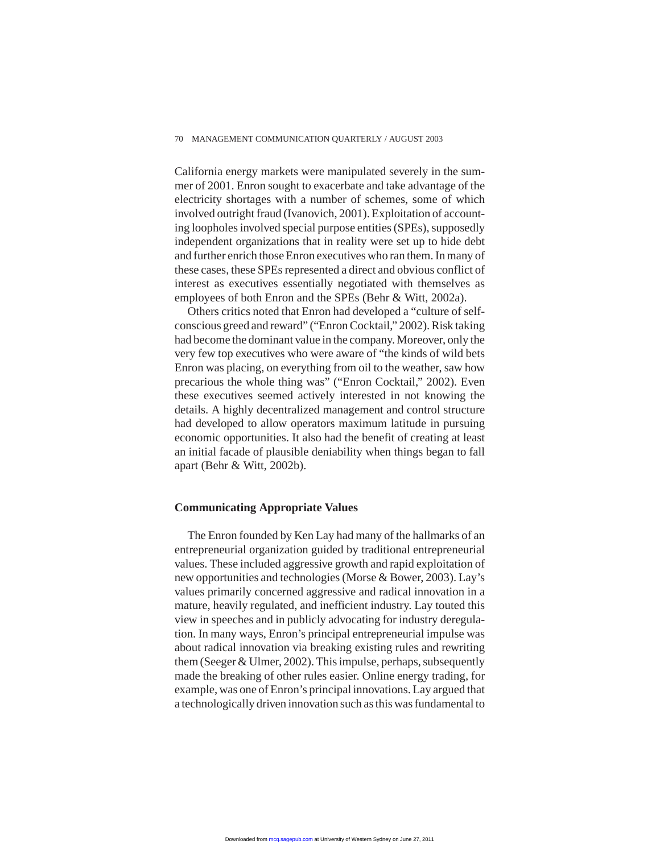California energy markets were manipulated severely in the summer of 2001. Enron sought to exacerbate and take advantage of the electricity shortages with a number of schemes, some of which involved outright fraud (Ivanovich,2001). Exploitation of accounting loopholes involved special purpose entities (SPEs), supposedly independent organizations that in reality were set up to hide debt and further enrich those Enron executives who ran them. In many of these cases, these SPEs represented a direct and obvious conflict of interest as executives essentially negotiated with themselves as employees of both Enron and the SPEs (Behr & Witt, 2002a).

Others critics noted that Enron had developed a "culture of selfconscious greed and reward" ("Enron Cocktail," 2002). Risk taking had become the dominant value in the company. Moreover, only the very few top executives who were aware of "the kinds of wild bets Enron was placing, on everything from oil to the weather, saw how precarious the whole thing was" ("Enron Cocktail," 2002). Even these executives seemed actively interested in not knowing the details. A highly decentralized management and control structure had developed to allow operators maximum latitude in pursuing economic opportunities. It also had the benefit of creating at least an initial facade of plausible deniability when things began to fall apart (Behr & Witt, 2002b).

#### **Communicating Appropriate Values**

The Enron founded by Ken Lay had many of the hallmarks of an entrepreneurial organization guided by traditional entrepreneurial values. These included aggressive growth and rapid exploitation of new opportunities and technologies (Morse & Bower,2003). Lay's values primarily concerned aggressive and radical innovation in a mature, heavily regulated, and inefficient industry. Lay touted this view in speeches and in publicly advocating for industry deregulation. In many ways, Enron's principal entrepreneurial impulse was about radical innovation via breaking existing rules and rewriting them (Seeger  $&$  Ulmer, 2002). This impulse, perhaps, subsequently made the breaking of other rules easier. Online energy trading, for example, was one of Enron's principal innovations. Lay argued that a technologically driven innovation such as this was fundamental to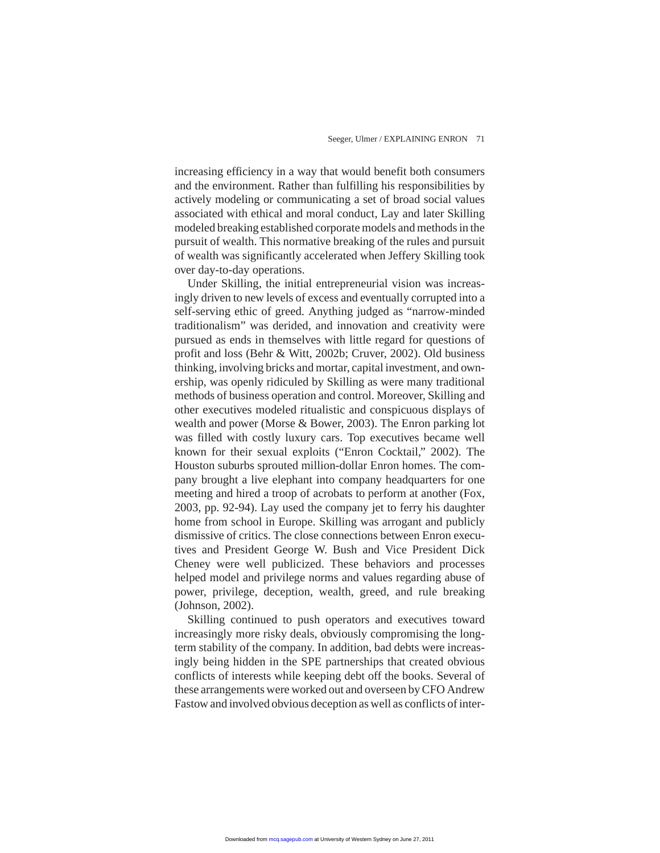increasing efficiency in a way that would benefit both consumers and the environment. Rather than fulfilling his responsibilities by actively modeling or communicating a set of broad social values associated with ethical and moral conduct,Lay and later Skilling modeled breaking established corporate models and methods in the pursuit of wealth. This normative breaking of the rules and pursuit of wealth was significantly accelerated when Jeffery Skilling took over day-to-day operations.

Under Skilling, the initial entrepreneurial vision was increasingly driven to new levels of excess and eventually corrupted into a self-serving ethic of greed. Anything judged as "narrow-minded traditionalism" was derided, and innovation and creativity were pursued as ends in themselves with little regard for questions of profit and loss (Behr & Witt,2002b; Cruver,2002). Old business thinking, involving bricks and mortar, capital investment, and ownership, was openly ridiculed by Skilling as were many traditional methods of business operation and control. Moreover, Skilling and other executives modeled ritualistic and conspicuous displays of wealth and power (Morse & Bower, 2003). The Enron parking lot was filled with costly luxury cars. Top executives became well known for their sexual exploits ("Enron Cocktail," 2002). The Houston suburbs sprouted million-dollar Enron homes. The company brought a live elephant into company headquarters for one meeting and hired a troop of acrobats to perform at another (Fox, 2003,pp. 92-94). Lay used the company jet to ferry his daughter home from school in Europe. Skilling was arrogant and publicly dismissive of critics. The close connections between Enron executives and President George W. Bush and Vice President Dick Cheney were well publicized. These behaviors and processes helped model and privilege norms and values regarding abuse of power, privilege, deception, wealth, greed, and rule breaking (Johnson, 2002).

Skilling continued to push operators and executives toward increasingly more risky deals, obviously compromising the longterm stability of the company. In addition, bad debts were increasingly being hidden in the SPE partnerships that created obvious conflicts of interests while keeping debt off the books. Several of these arrangements were worked out and overseen by CFO Andrew Fastow and involved obvious deception as well as conflicts of inter-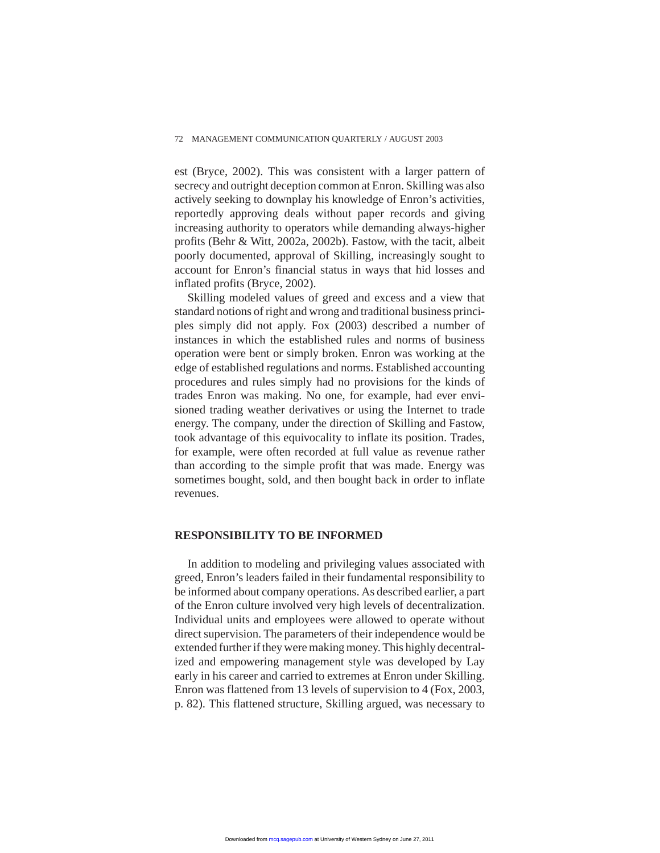est (Bryce, 2002). This was consistent with a larger pattern of secrecy and outright deception common at Enron. Skilling was also actively seeking to downplay his knowledge of Enron's activities, reportedly approving deals without paper records and giving increasing authority to operators while demanding always-higher profits (Behr & Witt, 2002a, 2002b). Fastow, with the tacit, albeit poorly documented, approval of Skilling, increasingly sought to account for Enron's financial status in ways that hid losses and inflated profits (Bryce, 2002).

Skilling modeled values of greed and excess and a view that standard notions of right and wrong and traditional business principles simply did not apply. Fox (2003) described a number of instances in which the established rules and norms of business operation were bent or simply broken. Enron was working at the edge of established regulations and norms. Established accounting procedures and rules simply had no provisions for the kinds of trades Enron was making. No one, for example, had ever envisioned trading weather derivatives or using the Internet to trade energy. The company, under the direction of Skilling and Fastow, took advantage of this equivocality to inflate its position. Trades, for example, were often recorded at full value as revenue rather than according to the simple profit that was made. Energy was sometimes bought, sold, and then bought back in order to inflate revenues.

## **RESPONSIBILITY TO BE INFORMED**

In addition to modeling and privileging values associated with greed,Enron's leaders failed in their fundamental responsibility to be informed about company operations. As described earlier, a part of the Enron culture involved very high levels of decentralization. Individual units and employees were allowed to operate without direct supervision. The parameters of their independence would be extended further if they were making money. This highly decentralized and empowering management style was developed by Lay early in his career and carried to extremes at Enron under Skilling. Enron was flattened from 13 levels of supervision to 4 (Fox,2003, p. 82). This flattened structure, Skilling argued, was necessary to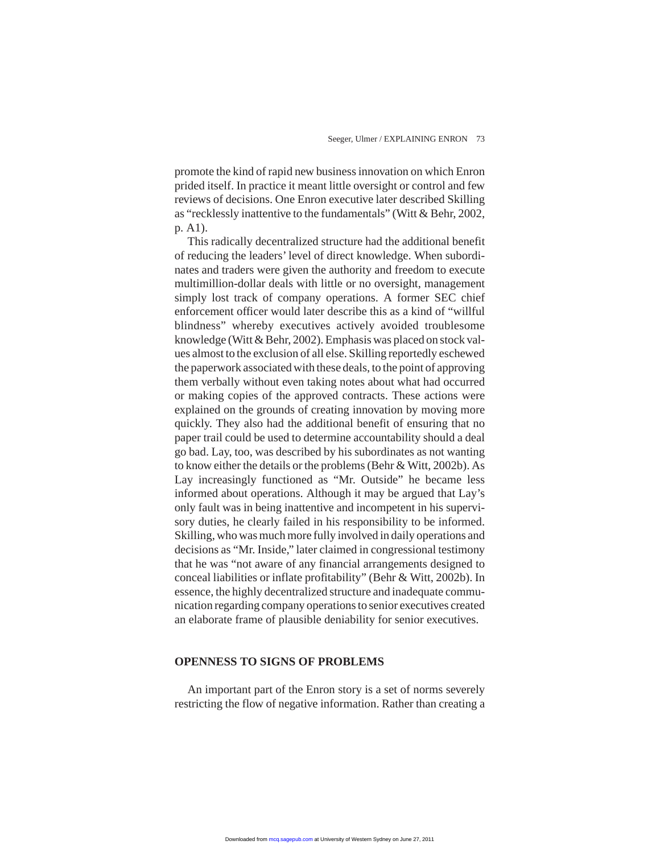promote the kind of rapid new business innovation on which Enron prided itself. In practice it meant little oversight or control and few reviews of decisions. One Enron executive later described Skilling as "recklessly inattentive to the fundamentals" (Witt & Behr,2002, p. A1).

This radically decentralized structure had the additional benefit of reducing the leaders' level of direct knowledge. When subordinates and traders were given the authority and freedom to execute multimillion-dollar deals with little or no oversight, management simply lost track of company operations. A former SEC chief enforcement officer would later describe this as a kind of "willful blindness" whereby executives actively avoided troublesome knowledge (Witt & Behr, 2002). Emphasis was placed on stock values almost to the exclusion of all else. Skilling reportedly eschewed the paperwork associated with these deals, to the point of approving them verbally without even taking notes about what had occurred or making copies of the approved contracts. These actions were explained on the grounds of creating innovation by moving more quickly. They also had the additional benefit of ensuring that no paper trail could be used to determine accountability should a deal go bad. Lay,too,was described by his subordinates as not wanting to know either the details or the problems (Behr & Witt,2002b). As Lay increasingly functioned as "Mr. Outside" he became less informed about operations. Although it may be argued that Lay's only fault was in being inattentive and incompetent in his supervisory duties, he clearly failed in his responsibility to be informed. Skilling, who was much more fully involved in daily operations and decisions as "Mr. Inside," later claimed in congressional testimony that he was "not aware of any financial arrangements designed to conceal liabilities or inflate profitability" (Behr & Witt,2002b). In essence, the highly decentralized structure and inadequate communication regarding company operations to senior executives created an elaborate frame of plausible deniability for senior executives.

## **OPENNESS TO SIGNS OF PROBLEMS**

An important part of the Enron story is a set of norms severely restricting the flow of negative information. Rather than creating a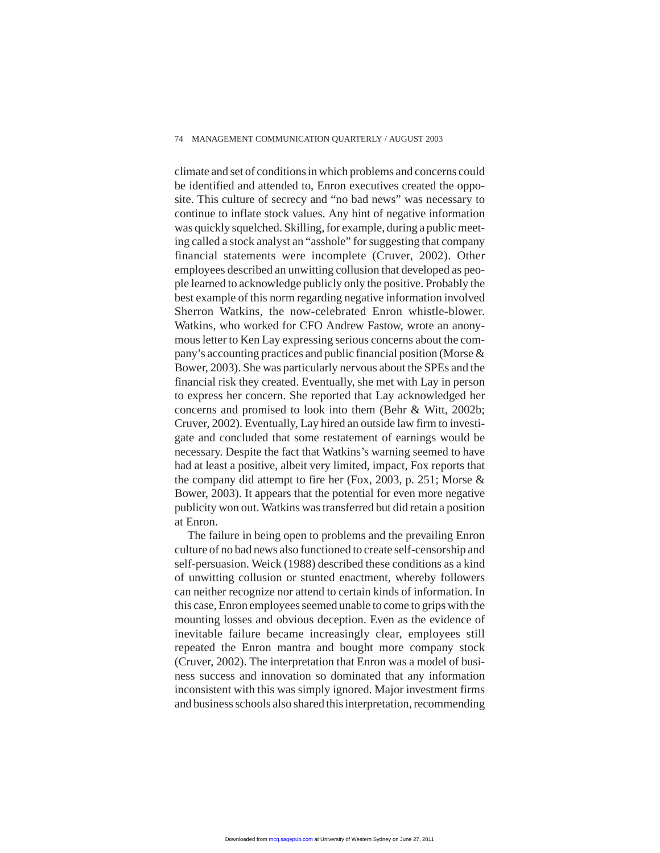climate and set of conditions in which problems and concerns could be identified and attended to, Enron executives created the opposite. This culture of secrecy and "no bad news" was necessary to continue to inflate stock values. Any hint of negative information was quickly squelched. Skilling, for example, during a public meeting called a stock analyst an "asshole" for suggesting that company financial statements were incomplete (Cruver,2002). Other employees described an unwitting collusion that developed as people learned to acknowledge publicly only the positive. Probably the best example of this norm regarding negative information involved Sherron Watkins, the now-celebrated Enron whistle-blower. Watkins, who worked for CFO Andrew Fastow, wrote an anonymous letter to Ken Lay expressing serious concerns about the company's accounting practices and public financial position (Morse & Bower,2003). She was particularly nervous about the SPEs and the financial risk they created. Eventually, she met with Lay in person to express her concern. She reported that Lay acknowledged her concerns and promised to look into them (Behr & Witt, 2002b; Cruver,2002). Eventually,Lay hired an outside law firm to investigate and concluded that some restatement of earnings would be necessary. Despite the fact that Watkins's warning seemed to have had at least a positive, albeit very limited, impact, Fox reports that the company did attempt to fire her (Fox, 2003, p. 251; Morse  $\&$ Bower,2003). It appears that the potential for even more negative publicity won out. Watkins was transferred but did retain a position at Enron.

The failure in being open to problems and the prevailing Enron culture of no bad news also functioned to create self-censorship and self-persuasion. Weick (1988) described these conditions as a kind of unwitting collusion or stunted enactment, whereby followers can neither recognize nor attend to certain kinds of information. In this case,Enron employees seemed unable to come to grips with the mounting losses and obvious deception. Even as the evidence of inevitable failure became increasingly clear, employees still repeated the Enron mantra and bought more company stock (Cruver,2002). The interpretation that Enron was a model of business success and innovation so dominated that any information inconsistent with this was simply ignored. Major investment firms and business schools also shared this interpretation, recommending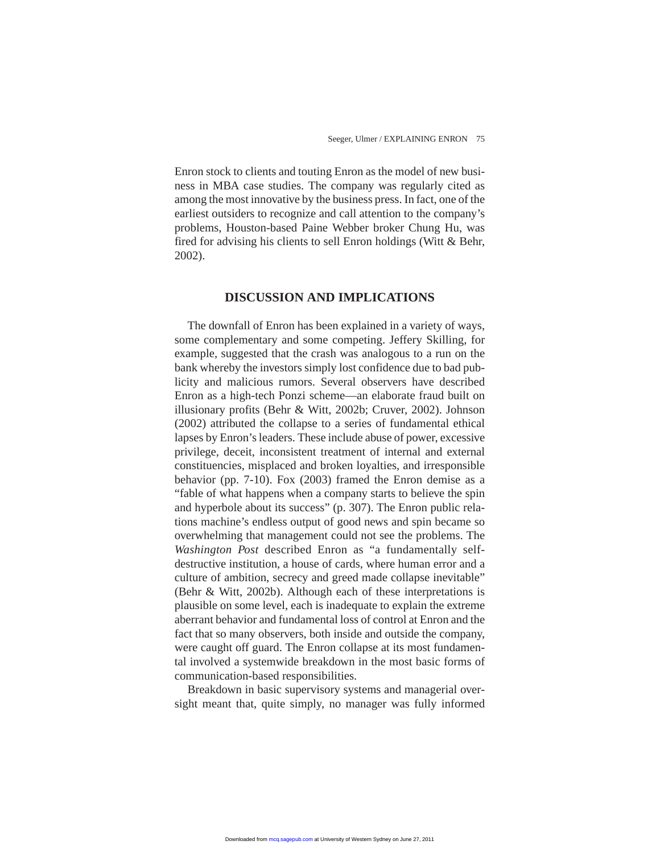Enron stock to clients and touting Enron as the model of new business in MBA case studies. The company was regularly cited as among the most innovative by the business press. In fact, one of the earliest outsiders to recognize and call attention to the company's problems, Houston-based Paine Webber broker Chung Hu, was fired for advising his clients to sell Enron holdings (Witt & Behr, 2002).

## **DISCUSSION AND IMPLICATIONS**

The downfall of Enron has been explained in a variety of ways, some complementary and some competing. Jeffery Skilling, for example, suggested that the crash was analogous to a run on the bank whereby the investors simply lost confidence due to bad publicity and malicious rumors. Several observers have described Enron as a high-tech Ponzi scheme—an elaborate fraud built on illusionary profits (Behr & Witt, 2002b; Cruver, 2002). Johnson (2002) attributed the collapse to a series of fundamental ethical lapses by Enron's leaders. These include abuse of power, excessive privilege, deceit, inconsistent treatment of internal and external constituencies, misplaced and broken loyalties, and irresponsible behavior (pp. 7-10). Fox (2003) framed the Enron demise as a "fable of what happens when a company starts to believe the spin and hyperbole about its success" (p. 307). The Enron public relations machine's endless output of good news and spin became so overwhelming that management could not see the problems. The *Washington Post* described Enron as "a fundamentally selfdestructive institution, a house of cards, where human error and a culture of ambition, secrecy and greed made collapse inevitable" (Behr & Witt, 2002b). Although each of these interpretations is plausible on some level, each is inadequate to explain the extreme aberrant behavior and fundamental loss of control at Enron and the fact that so many observers, both inside and outside the company, were caught off guard. The Enron collapse at its most fundamental involved a systemwide breakdown in the most basic forms of communication-based responsibilities.

Breakdown in basic supervisory systems and managerial oversight meant that, quite simply, no manager was fully informed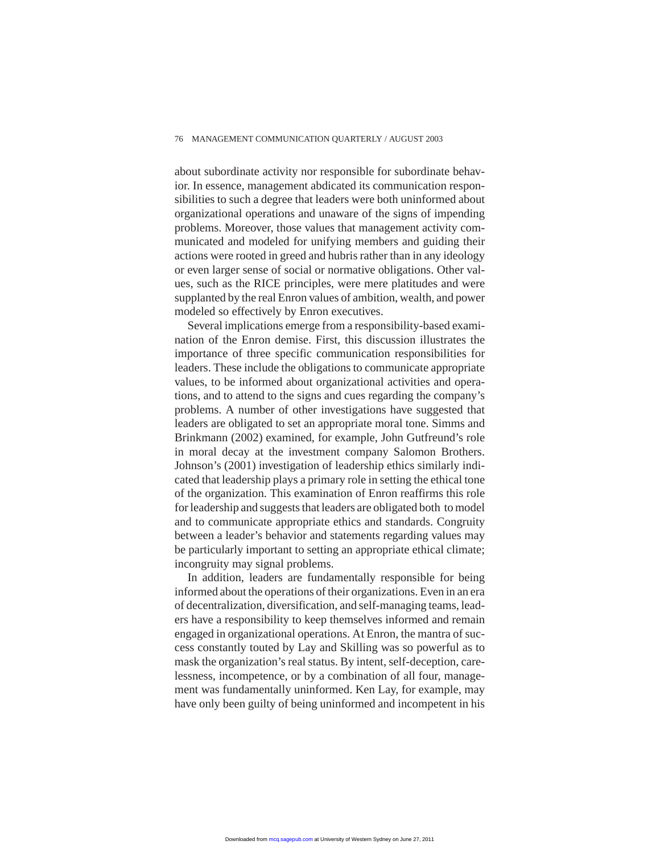about subordinate activity nor responsible for subordinate behavior. In essence, management abdicated its communication responsibilities to such a degree that leaders were both uninformed about organizational operations and unaware of the signs of impending problems. Moreover, those values that management activity communicated and modeled for unifying members and guiding their actions were rooted in greed and hubris rather than in any ideology or even larger sense of social or normative obligations. Other values, such as the RICE principles, were mere platitudes and were supplanted by the real Enron values of ambition, wealth, and power modeled so effectively by Enron executives.

Several implications emerge from a responsibility-based examination of the Enron demise. First, this discussion illustrates the importance of three specific communication responsibilities for leaders. These include the obligations to communicate appropriate values, to be informed about organizational activities and operations, and to attend to the signs and cues regarding the company's problems. A number of other investigations have suggested that leaders are obligated to set an appropriate moral tone. Simms and Brinkmann (2002) examined, for example, John Gutfreund's role in moral decay at the investment company Salomon Brothers. Johnson's (2001) investigation of leadership ethics similarly indicated that leadership plays a primary role in setting the ethical tone of the organization. This examination of Enron reaffirms this role for leadership and suggests that leaders are obligated both to model and to communicate appropriate ethics and standards. Congruity between a leader's behavior and statements regarding values may be particularly important to setting an appropriate ethical climate; incongruity may signal problems.

In addition, leaders are fundamentally responsible for being informed about the operations of their organizations. Even in an era of decentralization, diversification, and self-managing teams, leaders have a responsibility to keep themselves informed and remain engaged in organizational operations. At Enron, the mantra of success constantly touted by Lay and Skilling was so powerful as to mask the organization's real status. By intent, self-deception, carelessness, incompetence, or by a combination of all four, management was fundamentally uninformed. Ken Lay, for example, may have only been guilty of being uninformed and incompetent in his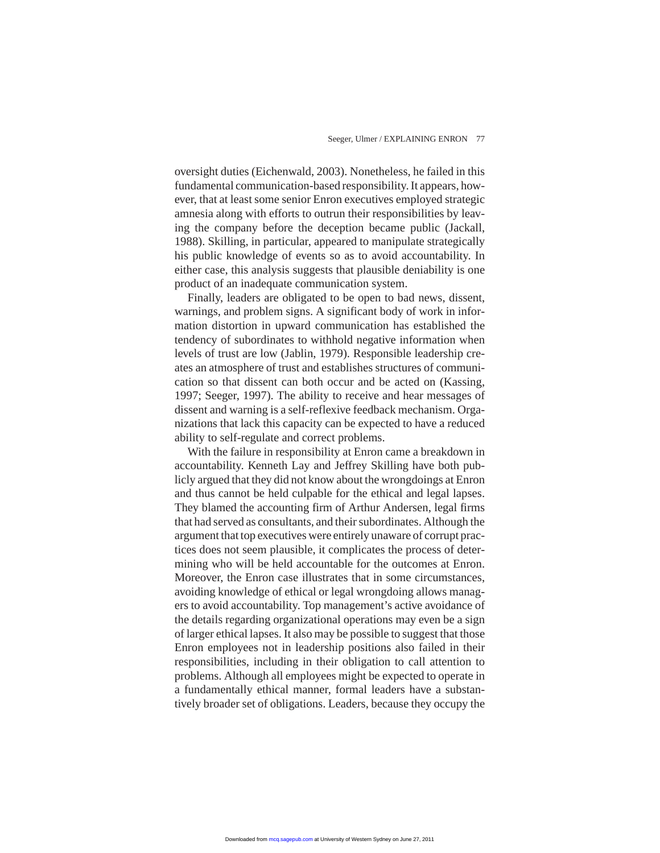oversight duties (Eichenwald, 2003). Nonetheless, he failed in this fundamental communication-based responsibility. It appears, however, that at least some senior Enron executives employed strategic amnesia along with efforts to outrun their responsibilities by leaving the company before the deception became public (Jackall, 1988). Skilling, in particular, appeared to manipulate strategically his public knowledge of events so as to avoid accountability. In either case, this analysis suggests that plausible deniability is one product of an inadequate communication system.

Finally, leaders are obligated to be open to bad news, dissent, warnings, and problem signs. A significant body of work in information distortion in upward communication has established the tendency of subordinates to withhold negative information when levels of trust are low (Jablin,1979). Responsible leadership creates an atmosphere of trust and establishes structures of communication so that dissent can both occur and be acted on (Kassing, 1997; Seeger, 1997). The ability to receive and hear messages of dissent and warning is a self-reflexive feedback mechanism. Organizations that lack this capacity can be expected to have a reduced ability to self-regulate and correct problems.

With the failure in responsibility at Enron came a breakdown in accountability. Kenneth Lay and Jeffrey Skilling have both publicly argued that they did not know about the wrongdoings at Enron and thus cannot be held culpable for the ethical and legal lapses. They blamed the accounting firm of Arthur Andersen, legal firms that had served as consultants, and their subordinates. Although the argument that top executives were entirely unaware of corrupt practices does not seem plausible, it complicates the process of determining who will be held accountable for the outcomes at Enron. Moreover, the Enron case illustrates that in some circumstances. avoiding knowledge of ethical or legal wrongdoing allows managers to avoid accountability. Top management's active avoidance of the details regarding organizational operations may even be a sign of larger ethical lapses. It also may be possible to suggest that those Enron employees not in leadership positions also failed in their responsibilities, including in their obligation to call attention to problems. Although all employees might be expected to operate in a fundamentally ethical manner, formal leaders have a substantively broader set of obligations. Leaders, because they occupy the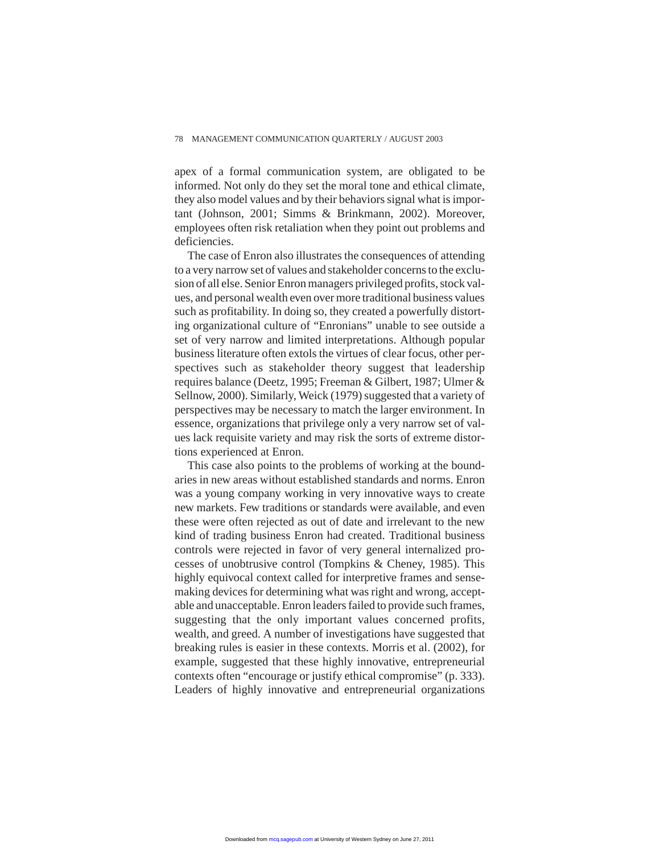apex of a formal communication system, are obligated to be informed. Not only do they set the moral tone and ethical climate, they also model values and by their behaviors signal what is important (Johnson,2001; Simms & Brinkmann,2002). Moreover, employees often risk retaliation when they point out problems and deficiencies.

The case of Enron also illustrates the consequences of attending to a very narrow set of values and stakeholder concerns to the exclusion of all else. Senior Enron managers privileged profits, stock values,and personal wealth even over more traditional business values such as profitability. In doing so, they created a powerfully distorting organizational culture of "Enronians" unable to see outside a set of very narrow and limited interpretations. Although popular business literature often extols the virtues of clear focus, other perspectives such as stakeholder theory suggest that leadership requires balance (Deetz,1995; Freeman & Gilbert,1987; Ulmer & Sellnow, 2000). Similarly, Weick (1979) suggested that a variety of perspectives may be necessary to match the larger environment. In essence, organizations that privilege only a very narrow set of values lack requisite variety and may risk the sorts of extreme distortions experienced at Enron.

This case also points to the problems of working at the boundaries in new areas without established standards and norms. Enron was a young company working in very innovative ways to create new markets. Few traditions or standards were available, and even these were often rejected as out of date and irrelevant to the new kind of trading business Enron had created. Traditional business controls were rejected in favor of very general internalized processes of unobtrusive control (Tompkins & Cheney,1985). This highly equivocal context called for interpretive frames and sensemaking devices for determining what was right and wrong, acceptable and unacceptable. Enron leaders failed to provide such frames, suggesting that the only important values concerned profits, wealth, and greed. A number of investigations have suggested that breaking rules is easier in these contexts. Morris et al. (2002), for example, suggested that these highly innovative, entrepreneurial contexts often "encourage or justify ethical compromise" (p. 333). Leaders of highly innovative and entrepreneurial organizations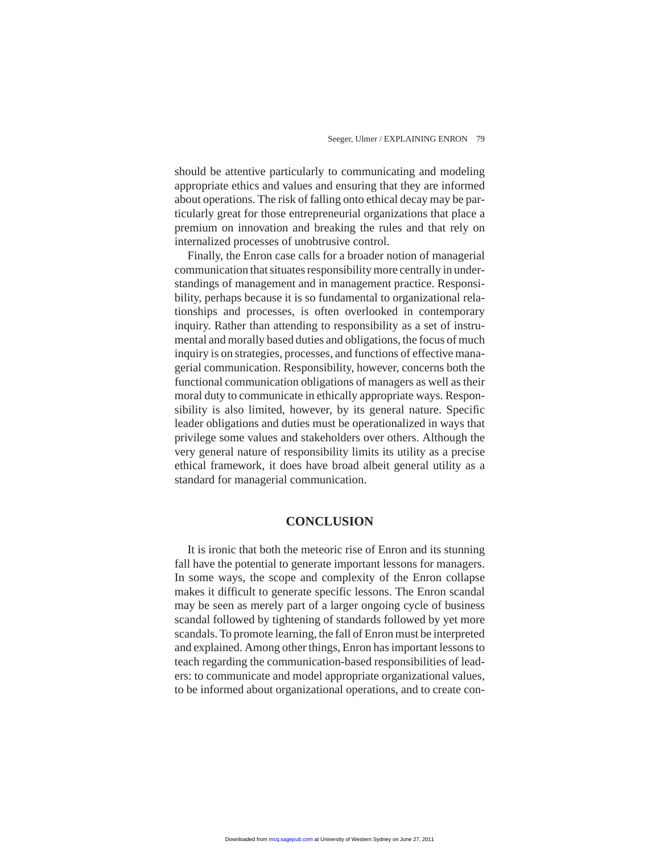should be attentive particularly to communicating and modeling appropriate ethics and values and ensuring that they are informed about operations. The risk of falling onto ethical decay may be particularly great for those entrepreneurial organizations that place a premium on innovation and breaking the rules and that rely on internalized processes of unobtrusive control.

Finally, the Enron case calls for a broader notion of managerial communication that situates responsibility more centrally in understandings of management and in management practice. Responsibility, perhaps because it is so fundamental to organizational relationships and processes, is often overlooked in contemporary inquiry. Rather than attending to responsibility as a set of instrumental and morally based duties and obligations, the focus of much inquiry is on strategies, processes, and functions of effective managerial communication. Responsibility, however, concerns both the functional communication obligations of managers as well as their moral duty to communicate in ethically appropriate ways. Responsibility is also limited, however, by its general nature. Specific leader obligations and duties must be operationalized in ways that privilege some values and stakeholders over others. Although the very general nature of responsibility limits its utility as a precise ethical framework, it does have broad albeit general utility as a standard for managerial communication.

## **CONCLUSION**

It is ironic that both the meteoric rise of Enron and its stunning fall have the potential to generate important lessons for managers. In some ways, the scope and complexity of the Enron collapse makes it difficult to generate specific lessons. The Enron scandal may be seen as merely part of a larger ongoing cycle of business scandal followed by tightening of standards followed by yet more scandals. To promote learning, the fall of Enron must be interpreted and explained. Among other things,Enron has important lessons to teach regarding the communication-based responsibilities of leaders: to communicate and model appropriate organizational values, to be informed about organizational operations, and to create con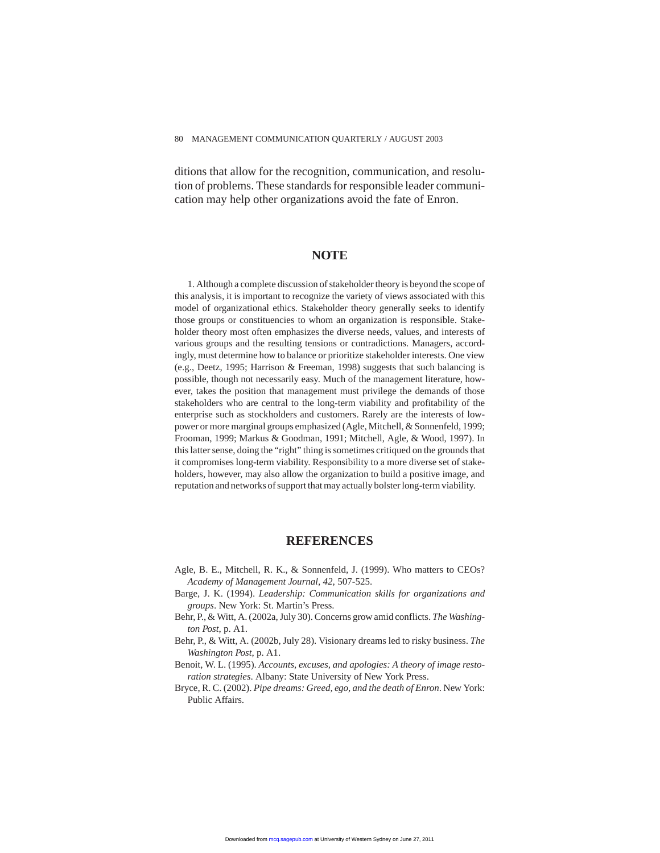ditions that allow for the recognition, communication, and resolution of problems. These standards for responsible leader communication may help other organizations avoid the fate of Enron.

## **NOTE**

1. Although a complete discussion of stakeholder theory is beyond the scope of this analysis, it is important to recognize the variety of views associated with this model of organizational ethics. Stakeholder theory generally seeks to identify those groups or constituencies to whom an organization is responsible. Stakeholder theory most often emphasizes the diverse needs, values, and interests of various groups and the resulting tensions or contradictions. Managers, accordingly, must determine how to balance or prioritize stakeholder interests. One view (e.g., Deetz, 1995; Harrison & Freeman, 1998) suggests that such balancing is possible, though not necessarily easy. Much of the management literature, however, takes the position that management must privilege the demands of those stakeholders who are central to the long-term viability and profitability of the enterprise such as stockholders and customers. Rarely are the interests of lowpower or more marginal groups emphasized (Agle, Mitchell, & Sonnenfeld, 1999; Frooman, 1999; Markus & Goodman, 1991; Mitchell, Agle, & Wood, 1997). In this latter sense, doing the "right" thing is sometimes critiqued on the grounds that it compromises long-term viability. Responsibility to a more diverse set of stakeholders, however, may also allow the organization to build a positive image, and reputation and networks of support that may actually bolster long-term viability.

## **REFERENCES**

- Agle, B. E., Mitchell, R. K., & Sonnenfeld, J. (1999). Who matters to CEOs? *Academy of Management Journal*, *42*, 507-525.
- Barge,J. K. (1994). *Leadership: Communication skills for organizations and groups*. New York: St. Martin's Press.
- Behr,P.,& Witt,A. (2002a,July 30). Concerns grow amid conflicts. *The Washington Post*, p. A1.
- Behr,P.,& Witt,A. (2002b,July 28). Visionary dreams led to risky business. *The Washington Post*, p. A1.
- Benoit,W. L. (1995). *Accounts, excuses, and apologies: A theory of image restoration strategies*. Albany: State University of New York Press.
- Bryce,R. C. (2002). *Pipe dreams: Greed, ego, and the death of Enron*. New York: Public Affairs.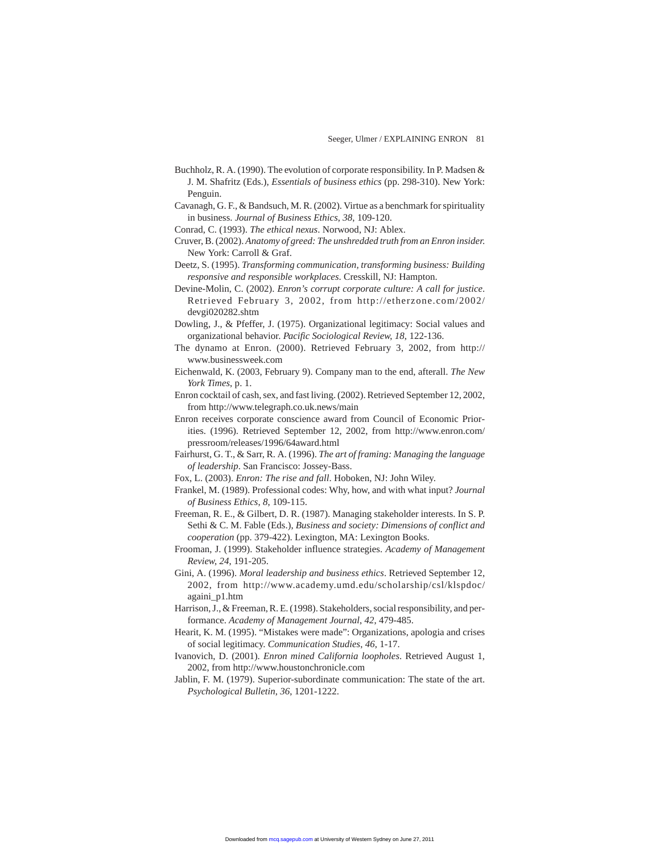- Buchholz,R. A. (1990). The evolution of corporate responsibility. In P. Madsen & J. M. Shafritz (Eds.), *Essentials of business ethics* (pp. 298-310). New York: Penguin.
- Cavanagh,G. F.,& Bandsuch,M. R. (2002). Virtue as a benchmark for spirituality in business. *Journal of Business Ethics*, *38*, 109-120.
- Conrad, C. (1993). *The ethical nexus*. Norwood, NJ: Ablex.
- Cruver,B. (2002). *Anatomy of greed: The unshredded truth from an Enron insider*. New York: Carroll & Graf.
- Deetz,S. (1995). *Transforming communication, transforming business: Building responsive and responsible workplaces*. Cresskill, NJ: Hampton.
- Devine-Molin,C. (2002). *Enron's corrupt corporate culture: A call for justice*. Retrieved February 3, 2002, from http://etherzone.com/2002/ devgi020282.shtm
- Dowling, J., & Pfeffer, J. (1975). Organizational legitimacy: Social values and organizational behavior. *Pacific Sociological Review*, *18*, 122-136.
- The dynamo at Enron. (2000). Retrieved February 3, 2002, from http:// www.businessweek.com
- Eichenwald, K. (2003, February 9). Company man to the end, afterall. *The New York Times*, p. 1.
- Enron cocktail of cash, sex, and fast living. (2002). Retrieved September 12, 2002, from http://www.telegraph.co.uk.news/main
- Enron receives corporate conscience award from Council of Economic Priorities. (1996). Retrieved September 12, 2002, from http://www.enron.com/ pressroom/releases/1996/64award.html
- Fairhurst,G. T.,& Sarr,R. A. (1996). *The art of framing: Managing the language of leadership*. San Francisco: Jossey-Bass.
- Fox, L. (2003). *Enron: The rise and fall*. Hoboken, NJ: John Wiley.
- Frankel, M. (1989). Professional codes: Why, how, and with what input? *Journal of Business Ethics*, *8*, 109-115.
- Freeman, R. E., & Gilbert, D. R. (1987). Managing stakeholder interests. In S. P. Sethi & C. M. Fable (Eds.), *Business and society: Dimensions of conflict and cooperation* (pp. 379-422). Lexington, MA: Lexington Books.
- Frooman,J. (1999). Stakeholder influence strategies. *Academy of Management Review*, *24*, 191-205.
- Gini,A. (1996). *Moral leadership and business ethics*. Retrieved September 12, 2002, from http://www.academy.umd.edu/scholarship/csl/klspdoc/ againi\_p1.htm
- Harrison, J., & Freeman, R. E. (1998). Stakeholders, social responsibility, and performance. *Academy of Management Journal*, *42*, 479-485.
- Hearit, K. M. (1995). "Mistakes were made": Organizations, apologia and crises of social legitimacy. *Communication Studies*, *46*, 1-17.
- Ivanovich,D. (2001). *Enron mined California loopholes*. Retrieved August 1, 2002, from http://www.houstonchronicle.com
- Jablin,F. M. (1979). Superior-subordinate communication: The state of the art. *Psychological Bulletin*, *36*, 1201-1222.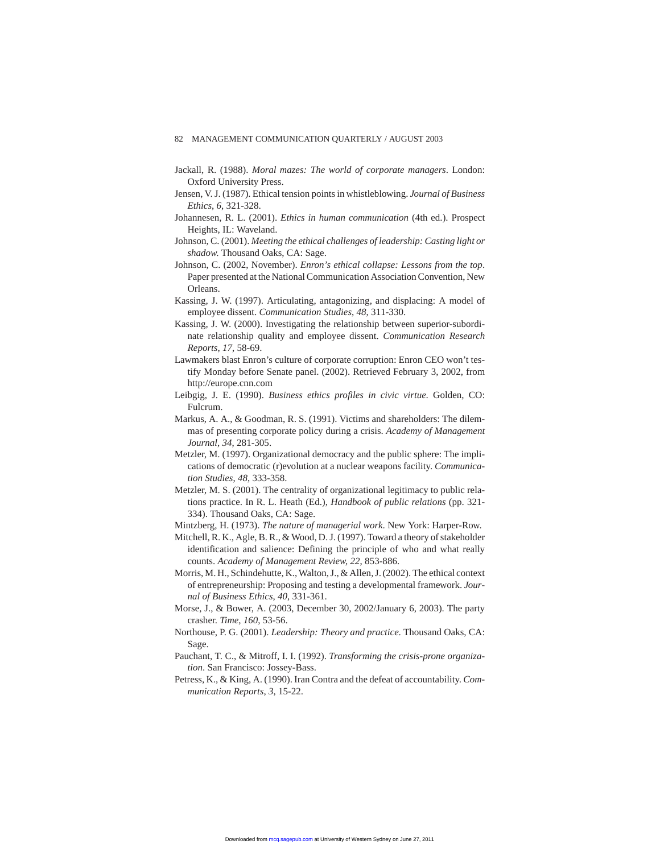- Jackall,R. (1988). *Moral mazes: The world of corporate managers*. London: Oxford University Press.
- Jensen,V. J. (1987). Ethical tension points in whistleblowing. *Journal of Business Ethics*, *6*, 321-328.
- Johannesen,R. L. (2001). *Ethics in human communication* (4th ed.). Prospect Heights, IL: Waveland.
- Johnson,C. (2001). *Meeting the ethical challenges of leadership: Casting light or shadow*. Thousand Oaks, CA: Sage.
- Johnson, C. (2002, November). *Enron's ethical collapse: Lessons from the top*. Paper presented at the National Communication Association Convention, New Orleans.
- Kassing, J. W. (1997). Articulating, antagonizing, and displacing: A model of employee dissent. *Communication Studies*, *48*, 311-330.
- Kassing, J. W. (2000). Investigating the relationship between superior-subordinate relationship quality and employee dissent. *Communication Research Reports*, *17*, 58-69.
- Lawmakers blast Enron's culture of corporate corruption: Enron CEO won't testify Monday before Senate panel. (2002). Retrieved February 3, 2002, from http://europe.cnn.com
- Leibgig, J. E. (1990). *Business ethics profiles in civic virtue*. Golden, CO: Fulcrum.
- Markus, A. A., & Goodman, R. S. (1991). Victims and shareholders: The dilemmas of presenting corporate policy during a crisis. *Academy of Management Journal*, *34*, 281-305.
- Metzler,M. (1997). Organizational democracy and the public sphere: The implications of democratic (r)evolution at a nuclear weapons facility. *Communication Studies*, *48*, 333-358.
- Metzler,M. S. (2001). The centrality of organizational legitimacy to public relations practice. In R. L. Heath (Ed.), *Handbook of public relations* (pp. 321- 334). Thousand Oaks, CA: Sage.
- Mintzberg, H. (1973). *The nature of managerial work*. New York: Harper-Row.
- Mitchell, R. K., Agle, B. R., & Wood, D. J. (1997). Toward a theory of stakeholder identification and salience: Defining the principle of who and what really counts. *Academy of Management Review*, *22*, 853-886.
- Morris, M. H., Schindehutte, K., Walton, J., & Allen, J. (2002). The ethical context of entrepreneurship: Proposing and testing a developmental framework. *Journal of Business Ethics*, *40*, 331-361.
- Morse, J., & Bower, A. (2003, December 30, 2002/January 6, 2003). The party crasher. *Time*, *160*, 53-56.
- Northouse, P. G. (2001). *Leadership: Theory and practice*. Thousand Oaks, CA: Sage.
- Pauchant, T. C., & Mitroff, I. I. (1992). *Transforming the crisis-prone organization*. San Francisco: Jossey-Bass.
- Petress, K., & King, A. (1990). Iran Contra and the defeat of accountability. *Communication Reports*, *3*, 15-22.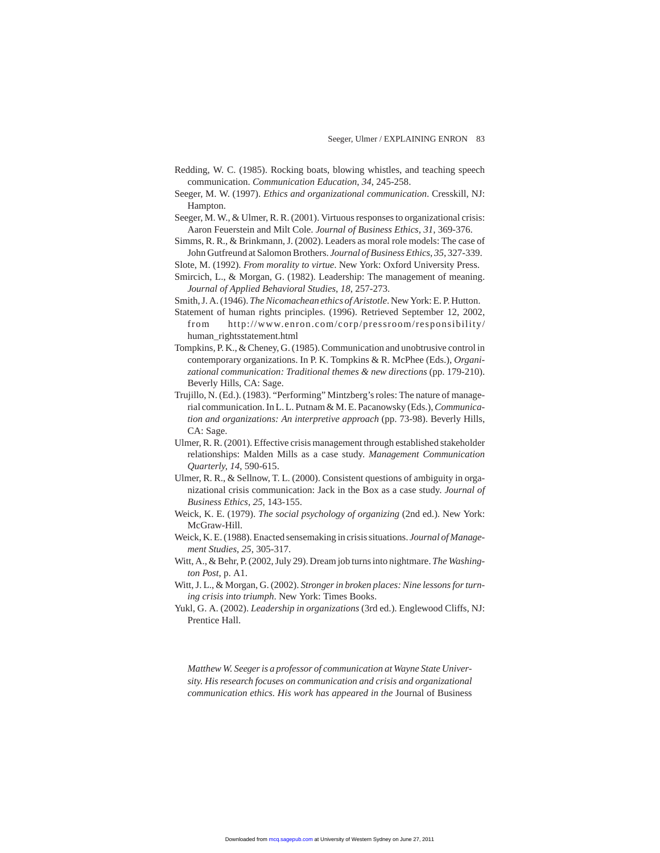- Redding, W. C. (1985). Rocking boats, blowing whistles, and teaching speech communication. *Communication Education*, *34*, 245-258.
- Seeger, M. W. (1997). *Ethics and organizational communication*. Cresskill, NJ: Hampton.
- Seeger, M. W., & Ulmer, R. R. (2001). Virtuous responses to organizational crisis: Aaron Feuerstein and Milt Cole. *Journal of Business Ethics*, *31*, 369-376.
- Simms, R. R., & Brinkmann, J. (2002). Leaders as moral role models: The case of John Gutfreund at Salomon Brothers. *Journal of Business Ethics*, *35*,327-339.
- Slote, M. (1992). *From morality to virtue*. New York: Oxford University Press.
- Smircich, L., & Morgan, G. (1982). Leadership: The management of meaning. *Journal of Applied Behavioral Studies*, *18*, 257-273.
- Smith,J. A. (1946). *The Nicomachean ethics of Aristotle*. New York: E. P. Hutton.
- Statement of human rights principles. (1996). Retrieved September 12, 2002, from http://www.enron.com/corp/pressroom/responsibility/ human\_rightsstatement.html
- Tompkins,P. K.,& Cheney,G. (1985). Communication and unobtrusive control in contemporary organizations. In P. K. Tompkins & R. McPhee (Eds.), *Organizational communication: Traditional themes & newdirections* (pp. 179-210). Beverly Hills, CA: Sage.
- Trujillo,N. (Ed.). (1983). "Performing" Mintzberg's roles: The nature of managerial communication. In L. L. Putnam & M. E. Pacanowsky (Eds.),*Communication and organizations: An interpretive approach* (pp. 73-98). Beverly Hills, CA: Sage.
- Ulmer,R. R. (2001). Effective crisis management through established stakeholder relationships: Malden Mills as a case study. *Management Communication Quarterly*, *14*, 590-615.
- Ulmer, R. R., & Sellnow, T. L. (2000). Consistent questions of ambiguity in organizational crisis communication: Jack in the Box as a case study. *Journal of Business Ethics*, *25*, 143-155.
- Weick,K. E. (1979). *The social psychology of organizing* (2nd ed.). New York: McGraw-Hill.
- Weick,K. E. (1988). Enacted sensemaking in crisis situations. *Journal of Management Studies*, *25*, 305-317.
- Witt,A.,& Behr,P. (2002,July 29). Dream job turns into nightmare. *The Washington Post*, p. A1.
- Witt,J. L.,& Morgan,G. (2002). *Stronger in broken places: Nine lessons for turning crisis into triumph*. New York: Times Books.
- Yukl, G. A. (2002). *Leadership in organizations* (3rd ed.). Englewood Cliffs, NJ: Prentice Hall.

*MatthewW. Seeger is a professor of communication at Wayne State University. His research focuses on communication and crisis and organizational communication ethics. His work has appeared in the* Journal of Business